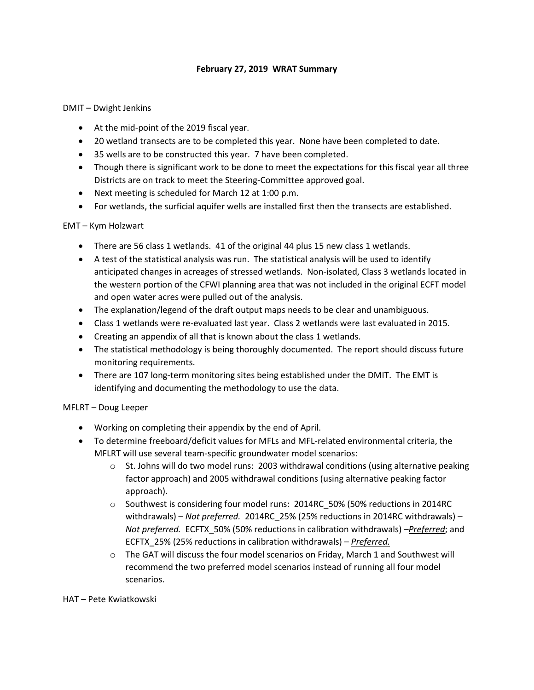## **February 27, 2019 WRAT Summary**

#### DMIT – Dwight Jenkins

- At the mid-point of the 2019 fiscal year.
- 20 wetland transects are to be completed this year. None have been completed to date.
- 35 wells are to be constructed this year. 7 have been completed.
- Though there is significant work to be done to meet the expectations for this fiscal year all three Districts are on track to meet the Steering-Committee approved goal.
- Next meeting is scheduled for March 12 at 1:00 p.m.
- For wetlands, the surficial aquifer wells are installed first then the transects are established.

## EMT – Kym Holzwart

- There are 56 class 1 wetlands. 41 of the original 44 plus 15 new class 1 wetlands.
- A test of the statistical analysis was run. The statistical analysis will be used to identify anticipated changes in acreages of stressed wetlands. Non-isolated, Class 3 wetlands located in the western portion of the CFWI planning area that was not included in the original ECFT model and open water acres were pulled out of the analysis.
- The explanation/legend of the draft output maps needs to be clear and unambiguous.
- Class 1 wetlands were re-evaluated last year. Class 2 wetlands were last evaluated in 2015.
- Creating an appendix of all that is known about the class 1 wetlands.
- The statistical methodology is being thoroughly documented. The report should discuss future monitoring requirements.
- There are 107 long-term monitoring sites being established under the DMIT. The EMT is identifying and documenting the methodology to use the data.

## MFLRT – Doug Leeper

- Working on completing their appendix by the end of April.
- To determine freeboard/deficit values for MFLs and MFL-related environmental criteria, the MFLRT will use several team-specific groundwater model scenarios:
	- $\circ$  St. Johns will do two model runs: 2003 withdrawal conditions (using alternative peaking factor approach) and 2005 withdrawal conditions (using alternative peaking factor approach).
	- $\circ$  Southwest is considering four model runs: 2014RC 50% (50% reductions in 2014RC withdrawals) – *Not preferred.* 2014RC\_25% (25% reductions in 2014RC withdrawals) – *Not preferred.* ECFTX\_50% (50% reductions in calibration withdrawals) –*Preferred*; and ECFTX\_25% (25% reductions in calibration withdrawals) – *Preferred.*
	- $\circ$  The GAT will discuss the four model scenarios on Friday, March 1 and Southwest will recommend the two preferred model scenarios instead of running all four model scenarios.

#### HAT – Pete Kwiatkowski